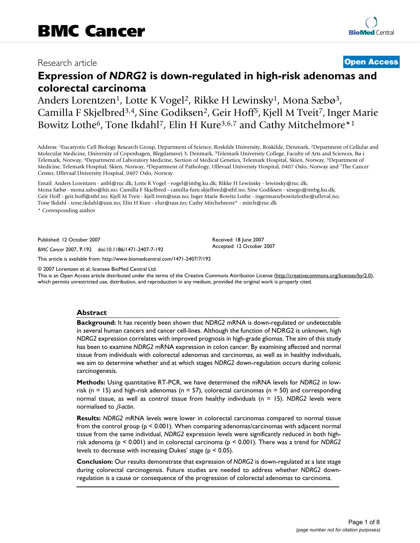## Research article **[Open Access](http://www.biomedcentral.com/info/about/charter/)**

# **Expression of** *NDRG2* **is down-regulated in high-risk adenomas and colorectal carcinoma**

Anders Lorentzen<sup>1</sup>, Lotte K Vogel<sup>2</sup>, Rikke H Lewinsky<sup>1</sup>, Mona Sæbø<sup>3</sup>, Camilla F Skjelbred3,4, Sine Godiksen2, Geir Hoff5, Kjell M Tveit7, Inger Marie Bowitz Lothe<sup>6</sup>, Tone Ikdahl<sup>7</sup>, Elin H Kure<sup>3,6,7</sup> and Cathy Mitchelmore<sup>\*1</sup>

Address: 1Eucaryotic Cell Biology Research Group, Department of Science, Roskilde University, Roskilde, Denmark, 2Department of Cellular and Molecular Medicine, University of Copenhagen, Blegdamsvej 3, Denmark, 3Telemark University College, Faculty of Arts and Sciences, Bø i Telemark, Norway, 4Department of Laboratory Medicine, Section of Medical Genetics, Telemark Hospital, Skien, Norway, 5Department of Medicine, Telemark Hospital, Skien, Norway, 6Department of Pathology, Ullevaal University Hospital, 0407 Oslo, Norway and 7The Cancer Center, Ullevaal University Hospital, 0407 Oslo, Norway

Email: Anders Lorentzen - anbl@ruc.dk; Lotte K Vogel - vogel@imbg.ku.dk; Rikke H Lewinsky - lewinsky@ruc.dk; Mona Sæbø - mona.sabo@hit.no; Camilla F Skjelbred - camilla-furu.skjelbred@sthf.no; Sine Godiksen - sinego@imbg.ku.dk; Geir Hoff - geir.hoff@sthf.no; Kjell M Tveit - kjell.tveit@uus.no; Inger Marie Bowitz Lothe - ingermariebowitzlothe@ulleval.no; Tone Ikdahl - tone.ikdahl@uus.no; Elin H Kure - elur@uus.no; Cathy Mitchelmore\* - mitch@ruc.dk

\* Corresponding author

Published: 12 October 2007

*BMC Cancer* 2007, **7**:192 doi:10.1186/1471-2407-7-192

[This article is available from: http://www.biomedcentral.com/1471-2407/7/192](http://www.biomedcentral.com/1471-2407/7/192)

© 2007 Lorentzen et al; licensee BioMed Central Ltd.

This is an Open Access article distributed under the terms of the Creative Commons Attribution License [\(http://creativecommons.org/licenses/by/2.0\)](http://creativecommons.org/licenses/by/2.0), which permits unrestricted use, distribution, and reproduction in any medium, provided the original work is properly cited.

Received: 18 June 2007 Accepted: 12 October 2007

#### **Abstract**

**Background:** It has recently been shown that *NDRG2* mRNA is down-regulated or undetectable in several human cancers and cancer cell-lines. Although the function of NDRG2 is unknown, high *NDRG2* expression correlates with improved prognosis in high-grade gliomas. The aim of this study has been to examine *NDRG2* mRNA expression in colon cancer. By examining affected and normal tissue from individuals with colorectal adenomas and carcinomas, as well as in healthy individuals, we aim to determine whether and at which stages *NDRG2* down-regulation occurs during colonic carcinogenesis.

**Methods:** Using quantitative RT-PCR, we have determined the mRNA levels for *NDRG2* in lowrisk ( $n = 15$ ) and high-risk adenomas ( $n = 57$ ), colorectal carcinomas ( $n = 50$ ) and corresponding normal tissue, as well as control tissue from healthy individuals (n = 15). *NDRG2* levels were normalised to β*-actin*.

**Results:** *NDRG2* mRNA levels were lower in colorectal carcinomas compared to normal tissue from the control group (p < 0.001). When comparing adenomas/carcinomas with adjacent normal tissue from the same individual, *NDRG2* expression levels were significantly reduced in both highrisk adenoma (p < 0.001) and in colorectal carcinoma (p < 0.001). There was a trend for *NDRG2* levels to decrease with increasing Dukes' stage ( $p < 0.05$ ).

**Conclusion:** Our results demonstrate that expression of *NDRG2* is down-regulated at a late stage during colorectal carcinogensis. Future studies are needed to address whether *NDRG2* downregulation is a cause or consequence of the progression of colorectal adenomas to carcinoma.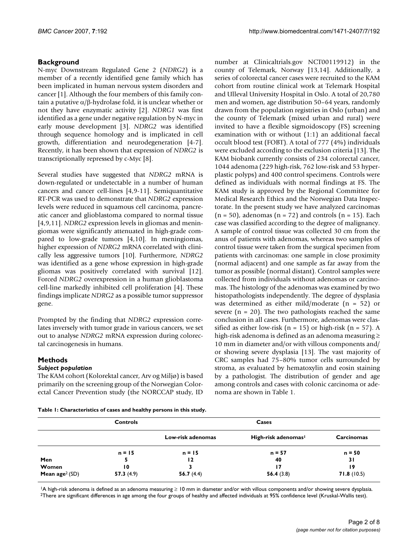### **Background**

N-myc Downstream Regulated Gene 2 (*NDRG2*) is a member of a recently identified gene family which has been implicated in human nervous system disorders and cancer [1]. Although the four members of this family contain a putative α/β-hydrolase fold, it is unclear whether or not they have enzymatic activity [2]. *NDRG1* was first identified as a gene under negative regulation by N-myc in early mouse development [3]. *NDRG2* was identified through sequence homology and is implicated in cell growth, differentiation and neurodegeneration [4-7]. Recently, it has been shown that expression of *NDRG2* is transcriptionally repressed by c-Myc [8].

Several studies have suggested that *NDRG2* mRNA is down-regulated or undetectable in a number of human cancers and cancer cell-lines [4,9-11]. Semiquantitative RT-PCR was used to demonstrate that *NDRG2* expression levels were reduced in squamous cell carcinoma, pancreatic cancer and glioblastoma compared to normal tissue [4,9,11]. *NDRG2* expression levels in gliomas and meningiomas were significantly attenuated in high-grade compared to low-grade tumors [4,10]. In meningiomas, higher expression of *NDRG2* mRNA correlated with clinically less aggressive tumors [10]. Furthermore, *NDRG2* was identified as a gene whose expression in high-grade gliomas was positively correlated with survival [12]. Forced *NDRG2* overexpression in a human glioblastoma cell-line markedly inhibited cell proliferation [4]. These findings implicate *NDRG2* as a possible tumor suppressor gene.

Prompted by the finding that *NDRG2* expression correlates inversely with tumor grade in various cancers, we set out to analyse *NDRG2* mRNA expression during colorectal carcinogenesis in humans.

#### **Methods**

#### *Subject population*

The KAM cohort (Kolorektal cancer, Arv og Miljø) is based primarily on the screening group of the Norwegian Colorectal Cancer Prevention study (the NORCCAP study, ID

**Table 1: Characteristics of cases and healthy persons in this study.**

number at Clinicaltrials.gov NCT00119912) in the county of Telemark, Norway [13,14]. Additionally, a series of colorectal cancer cases were recruited to the KAM cohort from routine clinical work at Telemark Hospital and Ulleval University Hospital in Oslo. A total of 20,780 men and women, age distribution 50–64 years, randomly drawn from the population registries in Oslo (urban) and the county of Telemark (mixed urban and rural) were invited to have a flexible sigmoidoscopy (FS) screening examination with or without (1:1) an additional faecal occult blood test (FOBT). A total of 777 (4%) individuals were excluded according to the exclusion criteria [13]. The KAM biobank currently consists of 234 colorectal cancer, 1044 adenoma (229 high-risk, 762 low-risk and 53 hyperplastic polyps) and 400 control specimens. Controls were defined as individuals with normal findings at FS. The KAM study is approved by the Regional Committee for Medical Research Ethics and the Norwegian Data Inspectorate. In the present study we have analyzed carcinomas  $(n = 50)$ , adenomas  $(n = 72)$  and controls  $(n = 15)$ . Each case was classified according to the degree of malignancy. A sample of control tissue was collected 30 cm from the anus of patients with adenomas, whereas two samples of control tissue were taken from the surgical specimen from patients with carcinomas: one sample in close proximity (normal adjacent) and one sample as far away from the tumor as possible (normal distant). Control samples were collected from individuals without adenomas or carcinomas. The histology of the adenomas was examined by two histopathologists independently. The degree of dysplasia was determined as either mild/moderate (n = 52) or severe  $(n = 20)$ . The two pathologists reached the same conclusion in all cases. Furthermore, adenomas were classified as either low-risk ( $n = 15$ ) or high-risk ( $n = 57$ ). A high-risk adenoma is defined as an adenoma measuring ≥ 10 mm in diameter and/or with villous components and/ or showing severe dysplasia [13]. The vast majority of CRC samples had 75–80% tumor cells surrounded by stroma, as evaluated by hematoxylin and eosin staining by a pathologist. The distribution of gender and age among controls and cases with colonic carcinoma or adenoma are shown in Table 1.

|                  | <b>Controls</b> | Cases             |                                 |            |  |
|------------------|-----------------|-------------------|---------------------------------|------------|--|
|                  |                 | Low-risk adenomas | High-risk adenomas <sup>1</sup> | Carcinomas |  |
|                  | $n = 15$        | $n = 15$          | $n = 57$                        | $n = 50$   |  |
| Men              |                 | 12                | 40                              | 31         |  |
| Women            | 10              |                   | 17                              | 19         |  |
| Mean $age2 (SD)$ | 57.3(4.9)       | 56.7 $(4.4)$      | 56.4(3.8)                       | 71.8(10.5) |  |

1A high-risk adenoma is defined as an adenoma measuring ≥ 10 mm in diameter and/or with villous components and/or showing severe dysplasia. <sup>2</sup>There are significant differences in age among the four groups of healthy and affected individuals at 95% confidence level (Kruskal-Wallis test).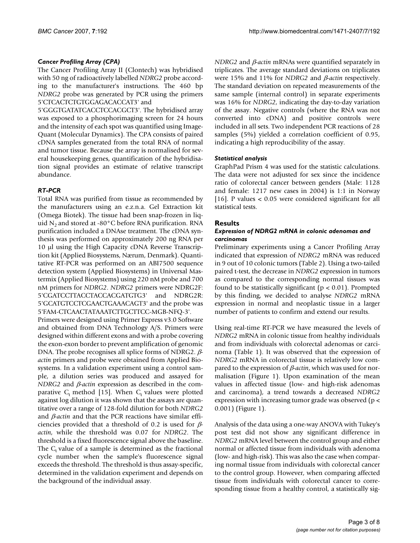#### *Cancer Profiling Array (CPA)*

The Cancer Profiling Array II (Clontech) was hybridised with 50 ng of radioactively labelled *NDRG2* probe according to the manufacturer's instructions. The 460 bp *NDRG2* probe was generated by PCR using the primers 5'CTCACTCTGTGGAGACACCAT3' and

5'GGGTGATATCACCTCCACGCT3'. The hybridised array was exposed to a phosphorimaging screen for 24 hours and the intensity of each spot was quantified using Image-Quant (Molecular Dynamics). The CPA consists of paired cDNA samples generated from the total RNA of normal and tumor tissue. Because the array is normalised for several housekeeping genes, quantification of the hybridisation signal provides an estimate of relative transcript abundance.

#### *RT-PCR*

Total RNA was purified from tissue as recommended by the manufacturers using an e.z.n.a. Gel Extraction kit (Omega Biotek). The tissue had been snap-frozen in liquid  $N_2$  and stored at -80 $^{\circ}$ C before RNA purification. RNA purification included a DNAse treatment. The cDNA synthesis was performed on approximately 200 ng RNA per 10 μl using the High Capacity cDNA Reverse Transcription kit (Applied Biosystems, Nærum, Denmark). Quantitative RT-PCR was performed on an ABI7500 sequence detection system (Applied Biosystems) in Universal Mastermix (Applied Biosystems) using 220 nM probe and 700 nM primers for *NDRG2*. *NDRG2* primers were NDRG2F: 5'CGATCCTTACCTACCACGATGTG3' and NDRG2R: 5'GCATGTCCTCGAACTGAAACAGT3' and the probe was 5'FAM-CTCAACTATAAATCTTGCTTCC-MGB-NFQ-3'.

Primers were designed using Primer Express v3.0 Software and obtained from DNA Technology A/S. Primers were designed within different exons and with a probe covering the exon-exon border to prevent amplification of genomic DNA. The probe recognises all splice forms of NDRG2. β*actin* primers and probe were obtained from Applied Biosystems. In a validation experiment using a control sample, a dilution series was produced and assayed for *NDRG2* and *β-actin* expression as described in the comparative  $C_t$  method [15]. When  $C_t$  values were plotted against log dilution it was shown that the assays are quantitative over a range of 128-fold dilution for both *NDRG2* and β*-actin* and that the PCR reactions have similar efficiencies provided that a threshold of 0.2 is used for β*actin*, while the threshold was 0.07 for *NDRG2*. The threshold is a fixed fluorescence signal above the baseline. The  $C_t$  value of a sample is determined as the fractional cycle number when the sample's fluorescence signal exceeds the threshold. The threshold is thus assay-specific, determined in the validation experiment and depends on the background of the individual assay.

*NDRG2* and β*-actin* mRNAs were quantified separately in triplicates. The average standard deviations on triplicates were 15% and 11% for *NDRG2* and β*-actin* respectively. The standard deviation on repeated measurements of the same sample (internal control) in separate experiments was 16% for *NDRG2*, indicating the day-to-day variation of the assay. Negative controls (where the RNA was not converted into cDNA) and positive controls were included in all sets. Two independent PCR reactions of 28 samples (5%) yielded a correlation coefficient of 0.95, indicating a high reproducibility of the assay.

#### *Statistical analysis*

GraphPad Prism 4 was used for the statistic calculations. The data were not adjusted for sex since the incidence ratio of colorectal cancer between genders (Male: 1128 and female: 1217 new cases in 2004) is 1:1 in Norway [16]. P values < 0.05 were considered significant for all statistical tests.

#### **Results**

#### *Expression of NDRG2 mRNA in colonic adenomas and carcinomas*

Preliminary experiments using a Cancer Profiling Array indicated that expression of *NDRG2* mRNA was reduced in 9 out of 10 colonic tumors (Table 2). Using a two-tailed paired t-test, the decrease in *NDRG2* expression in tumors as compared to the corresponding normal tissues was found to be statistically significant ( $p < 0.01$ ). Prompted by this finding, we decided to analyse *NDRG2* mRNA expression in normal and neoplastic tissue in a larger number of patients to confirm and extend our results.

Using real-time RT-PCR we have measured the levels of *NDRG2* mRNA in colonic tissue from healthy individuals and from individuals with colorectal adenomas or carcinoma (Table 1). It was observed that the expression of *NDRG2* mRNA in colorectal tissue is relatively low compared to the expression of β*-actin*, which was used for normalisation (Figure 1). Upon examination of the mean values in affected tissue (low- and high-risk adenomas and carcinoma), a trend towards a decreased *NDRG2* expression with increasing tumor grade was observed (p < 0.001) (Figure 1).

Analysis of the data using a one-way ANOVA with Tukey's post test did not show any significant difference in *NDRG2* mRNA level between the control group and either normal or affected tissue from individuals with adenoma (low- and high-risk). This was also the case when comparing normal tissue from individuals with colorectal cancer to the control group. However, when comparing affected tissue from individuals with colorectal cancer to corresponding tissue from a healthy control, a statistically sig-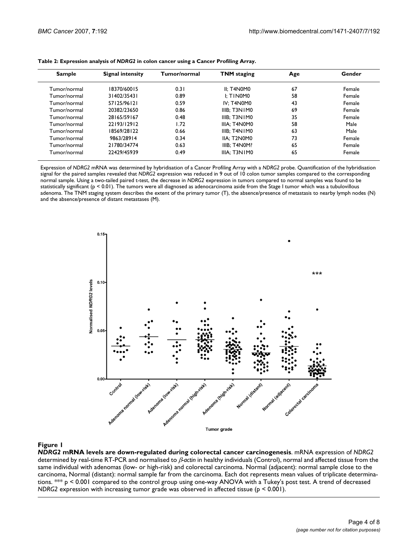| Sample       | <b>Signal intensity</b> | Tumor/normal | <b>TNM</b> staging | Age | Gender<br>Female |  |
|--------------|-------------------------|--------------|--------------------|-----|------------------|--|
| Tumor/normal | 18370/60015             | 0.31         | II: T4N0M0         | 67  |                  |  |
| Tumor/normal | 31402/35431             | 0.89         | I: TINOMO          | 58  | Female           |  |
| Tumor/normal | 57125/96121             | 0.59         | IV: T4N0M0         | 43  | Female           |  |
| Tumor/normal | 20382/23650             | 0.86         | IIIB: T3NIMO       | 69  | Female           |  |
| Tumor/normal | 28165/59167             | 0.48         | IIIB: T3NIMO       | 35  | Female           |  |
| Tumor/normal | 22193/12912             | 1.72         | IIIA: T4N0M0       | 58  | Male             |  |
| Tumor/normal | 18569/28122             | 0.66         | IIIB: T4N IMO      | 63  | Male             |  |
| Tumor/normal | 9863/28914              | 0.34         | IIA: T2N0M0        | 73  | Female           |  |
| Tumor/normal | 21780/34774             | 0.63         | IIIB: T4N0M?       | 65  | Female           |  |
| Tumor/normal | 22429/45939             | 0.49         | IIIA: T3N1M0       | 65  | Female           |  |

Expression of *NDRG2* mRNA was determined by hybridisation of a Cancer Profiling Array with a *NDRG2* probe. Quantification of the hybridisation signal for the paired samples revealed that *NDRG2* expression was reduced in 9 out of 10 colon tumor samples compared to the corresponding normal sample. Using a two-tailed paired t-test, the decrease in *NDRG2* expression in tumors compared to normal samples was found to be statistically significant (p < 0.01). The tumors were all diagnosed as adenocarcinoma aside from the Stage I tumor which was a tubulovillous adenoma. The TNM staging system describes the extent of the primary tumor (T), the absence/presence of metastasis to nearby lymph nodes (N) and the absence/presence of distant metastases (M).



#### **Figure 1** and down-regulated during colorectal cancer cancer cancer cancer cancer cancer cancer cancer cancer

*NDRG2* **mRNA levels are down-regulated during colorectal cancer carcinogenesis**. mRNA expression of *NDRG2*  determined by real-time RT-PCR and normalised to β*-actin* in healthy individuals (Control), normal and affected tissue from the same individual with adenomas (low- or high-risk) and colorectal carcinoma. Normal (adjacent): normal sample close to the carcinoma, Normal (distant): normal sample far from the carcinoma. Each dot represents mean values of triplicate determinations. \*\*\* p < 0.001 compared to the control group using one-way ANOVA with a Tukey's post test. A trend of decreased *NDRG2* expression with increasing tumor grade was observed in affected tissue (p < 0.001).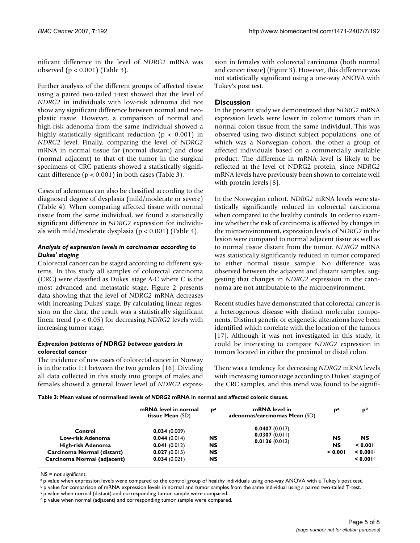nificant difference in the level of *NDRG2* mRNA was observed (p < 0.001) (Table 3).

Further analysis of the different groups of affected tissue using a paired two-tailed t-test showed that the level of *NDRG2* in individuals with low-risk adenoma did not show any significant difference between normal and neoplastic tissue. However, a comparison of normal and high-risk adenoma from the same individual showed a highly statistically significant reduction ( $p < 0.001$ ) in *NDRG2* level. Finally, comparing the level of *NDRG2* mRNA in normal tissue far (normal distant) and close (normal adjacent) to that of the tumor in the surgical specimens of CRC patients showed a statistically significant difference ( $p < 0.001$ ) in both cases (Table 3).

Cases of adenomas can also be classified according to the diagnosed degree of dysplasia (mild/moderate or severe) (Table 4). When comparing affected tissue with normal tissue from the same individual, we found a statistically significant difference in *NDRG2* expression for individuals with mild/moderate dysplasia ( $p < 0.001$ ) (Table 4).

#### *Analysis of expression levels in carcinomas according to Dukes' staging*

Colorectal cancer can be staged according to different systems. In this study all samples of colorectal carcinoma (CRC) were classified as Dukes' stage A-C where C is the most advanced and metastatic stage. Figure 2 presents data showing that the level of *NDRG2* mRNA decreases with increasing Dukes' stage. By calculating linear regression on the data, the result was a statistically significant linear trend (p < 0.05) for decreasing *NDRG2* levels with increasing tumor stage.

#### *Expression patterns of NDRG2 between genders in colorectal cancer*

The incidence of new cases of colorectal cancer in Norway is in the ratio 1:1 between the two genders [16]. Dividing all data collected in this study into groups of males and females showed a general lower level of *NDRG2* expression in females with colorectal carcinoma (both normal and cancer tissue) (Figure 3). However, this difference was not statistically significant using a one-way ANOVA with Tukey's post test.

#### **Discussion**

In the present study we demonstrated that *NDRG2* mRNA expression levels were lower in colonic tumors than in normal colon tissue from the same individual. This was observed using two distinct subject populations, one of which was a Norwegian cohort, the other a group of affected individuals based on a commercially available product. The difference in mRNA level is likely to be reflected at the level of NDRG2 protein, since *NDRG2* mRNA levels have previously been shown to correlate well with protein levels [8].

In the Norwegian cohort, *NDRG2* mRNA levels were statistically significantly reduced in colorectal carcinoma when compared to the healthy controls. In order to examine whether the risk of carcinoma is affected by changes in the microenvironment, expression levels of *NDRG2* in the lesion were compared to normal adjacent tissue as well as to normal tissue distant from the tumor. *NDRG2* mRNA was statistically significantly reduced in tumor compared to either normal tissue sample. No difference was observed between the adjacent and distant samples, suggesting that changes in *NDRG2* expression in the carcinoma are not attributable to the microenvironment.

Recent studies have demonstrated that colorectal cancer is a heterogenous disease with distinct molecular components. Distinct genetic or epigenetic alterations have been identified which correlate with the location of the tumors [17]. Although it was not investigated in this study, it could be interesting to compare *NDRG2* expression in tumors located in either the proximal or distal colon.

There was a tendency for decreasing *NDRG2* mRNA levels with increasing tumor stage according to Dukes' staging of the CRC samples, and this trend was found to be signifi-

**Table 3: Mean values of normalised levels of** *NDRG2* **mRNA in normal and affected colonic tissues.**

|                             | mRNA level in normal<br>tissue Mean (SD) | p <sup>a</sup> | mRNA level in<br>adenomas/carcinomas Mean (SD) | D <sup>a</sup> | pb                   |
|-----------------------------|------------------------------------------|----------------|------------------------------------------------|----------------|----------------------|
| Control<br>Low-risk Adenoma | 0.034(0.009)<br>0.044(0.014)             | NS             | 0.0407(0.017)<br>0.0307(0.011)                 | <b>NS</b>      | <b>NS</b>            |
| High-risk Adenoma           | 0.041(0.012)                             | <b>NS</b>      | 0.0136(0.012)                                  | <b>NS</b>      | 0.001                |
| Carcinoma Normal (distant)  | 0.027(0.015)                             | <b>NS</b>      |                                                | 0.001          | < 0.001c             |
| Carcinoma Normal (adjacent) | 0.034(0.021)                             | <b>NS</b>      |                                                |                | < 0.001 <sup>d</sup> |

NS = not significant.

a p value when expression levels were compared to the control group of healthy individuals using one-way ANOVA with a Tukey's post test.

b p value for comparison of mRNA expression levels in normal and tumor samples from the same individual using a paired two-tailed T-test.

c p value when normal (distant) and corresponding tumor sample were compared.

d p value when normal (adjacent) and corresponding tumor sample were compared.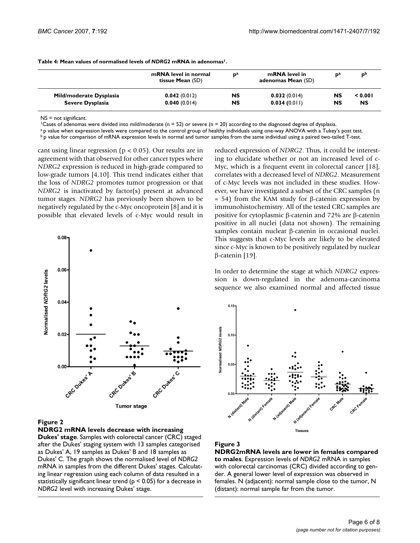|                         | mRNA level in normal<br>tissue Mean (SD) | $\mathbf{p}^{\mathbf{a}}$ | mRNA level in<br>adenomas Mean (SD) | na | D <sup>D</sup> |
|-------------------------|------------------------------------------|---------------------------|-------------------------------------|----|----------------|
| Mild/moderate Dysplasia | 0.042(0.012)                             | NS                        | 0.032(0.014)                        | NS | 0.001          |
| Severe Dysplasia        | 0.040(0.014)                             | NS                        | 0.034(0.011)                        | NS | NS             |

**Table 4: Mean values of normalised levels of** *NDRG2* **mRNA in adenomas1.**

NS = not significant.

<sup>1</sup>Cases of adenomas were divided into mild/moderate (n = 52) or severe (n = 20) according to the diagnosed degree of dysplasia.

a p value when expression levels were compared to the control group of healthy individuals using one-way ANOVA with a Tukey's post test.

b p value for comparison of mRNA expression levels in normal and tumor samples from the same individual using a paired two-tailed T-test.

cant using linear regression ( $p < 0.05$ ). Our results are in agreement with that observed for other cancer types where *NDRG2* expression is reduced in high-grade compared to low-grade tumors [4,10]. This trend indicates either that the loss of *NDRG2* promotes tumor progression or that *NDRG2* is inactivated by factor(s) present at advanced tumor stages. *NDRG2* has previously been shown to be negatively regulated by the c-Myc oncoprotein [8] and it is possible that elevated levels of c-Myc would result in



#### **Figure 2**

**NDRG2 mRNA levels decrease with increasing Dukes' stage**. Samples with colorectal cancer (CRC) staged after the Dukes' staging system with 13 samples categorised as Dukes' A, 19 samples as Dukes' B and 18 samples as Dukes' C. The graph shows the normalised level of *NDRG2*  mRNA in samples from the different Dukes' stages. Calculating linear regression using each column of data resulted in a statistically significant linear trend ( $p < 0.05$ ) for a decrease in *NDRG2* level with increasing Dukes' stage.

reduced expression of *NDRG2*. Thus, it could be interesting to elucidate whether or not an increased level of c-Myc, which is a frequent event in colorectal cancer [18], correlates with a decreased level of *NDRG2*. Measurement of c-Myc levels was not included in these studies. However, we have investigated a subset of the CRC samples (n  $= 54$ ) from the KAM study for β-catenin expression by immunohistochemistry. All of the tested CRC samples are positive for cytoplasmic β-catenin and 72% are β-catenin positive in all nuclei (data not shown). The remaining samples contain nuclear β-catenin in occasional nuclei. This suggests that c-Myc levels are likely to be elevated since c-Myc is known to be positively regulated by nuclear β-catenin [19].

In order to determine the stage at which *NDRG2* expression is down-regulated in the adenoma-carcinoma sequence we also examined normal and affected tissue





**NDRG2mRNA levels are lower in females compared to males**. Expression levels of *NDRG2* mRNA in samples with colorectal carcinomas (CRC) divided according to gender. A general lower level of expression was observed in females. N (adjacent): normal sample close to the tumor, N (distant): normal sample far from the tumor.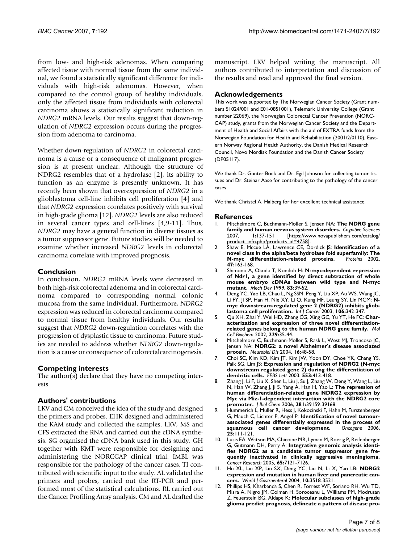from low- and high-risk adenomas. When comparing affected tissue with normal tissue from the same individual, we found a statistically significant difference for individuals with high-risk adenomas. However, when compared to the control group of healthy individuals, only the affected tissue from individuals with colorectal carcinoma shows a statistically significant reduction in *NDRG2* mRNA levels. Our results suggest that down-regulation of *NDRG2* expression occurs during the progression from adenoma to carcinoma.

Whether down-regulation of *NDRG2* in colorectal carcinoma is a cause or a consequence of malignant progression is at present unclear. Although the structure of NDRG2 resembles that of a hydrolase [2], its ability to function as an enzyme is presently unknown. It has recently been shown that overexpression of *NDRG2* in a glioblastoma cell-line inhibits cell proliferation [4] and that *NDRG2* expression correlates positively with survival in high-grade glioma [12]. *NDRG2* levels are also reduced in several cancer types and cell-lines [4,9-11]. Thus, *NDRG2* may have a general function in diverse tissues as a tumor suppressor gene. Future studies will be needed to examine whether increased *NDRG2* levels in colorectal carcinoma correlate with improved prognosis.

#### **Conclusion**

In conclusion, *NDRG2* mRNA levels were decreased in both high-risk colorectal adenoma and in colorectal carcinoma compared to corresponding normal colonic mucosa from the same individual. Furthermore, *NDRG2* expression was reduced in colorectal carcinoma compared to normal tissue from healthy individuals. Our results suggest that *NDRG2* down-regulation correlates with the progression of dysplastic tissue to carcinoma. Future studies are needed to address whether *NDRG2* down-regulation is a cause or consequence of colorectalcarcinogenesis.

#### **Competing interests**

The author(s) declare that they have no competing interests.

#### **Authors' contributions**

LKV and CM conceived the idea of the study and designed the primers and probes. EHK designed and administered the KAM study and collected the samples. LKV, MS and CFS extracted the RNA and carried out the cDNA synthesis. SG organised the cDNA bank used in this study. GH together with KMT were responsible for designing and administering the NORCCAP clinical trial. IMBL was responsible for the pathology of the cancer cases. TI contributed with scientific input to the study. AL validated the primers and probes, carried out the RT-PCR and performed most of the statistical calculations. RL carried out the Cancer Profiling Array analysis. CM and AL drafted the manuscript. LKV helped writing the manuscript. All authors contributed to interpretation and discussion of the results and read and approved the final version.

#### **Acknowledgements**

This work was supported by The Norwegian Cancer Society (Grant numbers 51024/001 and E01-0851001), Telemark University College (Grant number 22069), the Norwegian Colorectal Cancer Prevention (NORC-CAP) study, grants from the Norwegian Cancer Society and the Department of Health and Social Affairs with the aid of EXTRA funds from the Norwegian Foundation for Health and Rehabilitation (2001/2/0110), Eastern Norway Regional Health Authority, the Danish Medical Research Council, Novo Nordisk Foundation and the Danish Cancer Society (DP05117).

We thank Dr. Gunter Bock and Dr. Egil Johnson for collecting tumor tissues and Dr. Steinar Aase for contributing to the pathology of the cancer cases.

We thank Christel A. Halberg for her excellent technical assistance.

#### **References**

- 1. Mitchelmore C, Buchmann-Moller S, Jensen NA: **The NDRG gene family and human nervous system disorders.** *Cognitive Sciences* [\[https://www.novapublishers.com/catalog/](https://www.novapublishers.com/catalog/product_info.php?products_id=4758) [product\\_info.php?products\\_id=4758\]](https://www.novapublishers.com/catalog/product_info.php?products_id=4758).
- 2. Shaw E, Mccue LA, Lawrence CE, Dordick JS: **[Identification of a](http://www.ncbi.nlm.nih.gov/entrez/query.fcgi?cmd=Retrieve&db=PubMed&dopt=Abstract&list_uids=11933063) [novel class in the alpha/beta hydrolase fold superfamily: The](http://www.ncbi.nlm.nih.gov/entrez/query.fcgi?cmd=Retrieve&db=PubMed&dopt=Abstract&list_uids=11933063) [N-myc differentiation-related proteins.](http://www.ncbi.nlm.nih.gov/entrez/query.fcgi?cmd=Retrieve&db=PubMed&dopt=Abstract&list_uids=11933063) 47:**163-168.
- 3. Shimono A, Okuda T, Kondoh H: **[N-myc-dependent repression](http://www.ncbi.nlm.nih.gov/entrez/query.fcgi?cmd=Retrieve&db=PubMed&dopt=Abstract&list_uids=10381566) [of Ndr1, a gene identified by direct subtraction of whole](http://www.ncbi.nlm.nih.gov/entrez/query.fcgi?cmd=Retrieve&db=PubMed&dopt=Abstract&list_uids=10381566) mouse embryo cDNAs between wild type and N-myc [mutant.](http://www.ncbi.nlm.nih.gov/entrez/query.fcgi?cmd=Retrieve&db=PubMed&dopt=Abstract&list_uids=10381566)** *Mech Dev* 1999, **83:**39-52.
- 4. Deng YC, Yao LB, Chau L, Ng SSM, Peng Y, Liu XP, Au WS, Wang JC, Li FY, Ji SP, Han H, Nie XY, Li Q, Kung HF, Leung SY, Lin MCM: **[N](http://www.ncbi.nlm.nih.gov/entrez/query.fcgi?cmd=Retrieve&db=PubMed&dopt=Abstract&list_uids=12845671)[myc downstream-regulated gene 2 \(NDRG2\) inhibits gliob](http://www.ncbi.nlm.nih.gov/entrez/query.fcgi?cmd=Retrieve&db=PubMed&dopt=Abstract&list_uids=12845671)[lastoma cell proliferation.](http://www.ncbi.nlm.nih.gov/entrez/query.fcgi?cmd=Retrieve&db=PubMed&dopt=Abstract&list_uids=12845671)** *Int J Cancer* 2003, **106:**342-347.
- 5. Qu XH, Zhai Y, Wei HD, Zhang CG, Xing GC, Yu YT, He FC: **[Char](http://www.ncbi.nlm.nih.gov/entrez/query.fcgi?cmd=Retrieve&db=PubMed&dopt=Abstract&list_uids=11936845)[acterization and expression of three novel differentiation](http://www.ncbi.nlm.nih.gov/entrez/query.fcgi?cmd=Retrieve&db=PubMed&dopt=Abstract&list_uids=11936845)[related genes belong to the human NDRG gene family.](http://www.ncbi.nlm.nih.gov/entrez/query.fcgi?cmd=Retrieve&db=PubMed&dopt=Abstract&list_uids=11936845)** *Mol Cell Biochem* 2002, **229:**35-44.
- 6. Mitchelmore C, Buchmann-Moller S, Rask L, West MJ, Troncoso JC, Jensen NA: **[NDRG2: a novel Alzheimer's disease associated](http://www.ncbi.nlm.nih.gov/entrez/query.fcgi?cmd=Retrieve&db=PubMed&dopt=Abstract&list_uids=15207261) [protein.](http://www.ncbi.nlm.nih.gov/entrez/query.fcgi?cmd=Retrieve&db=PubMed&dopt=Abstract&list_uids=15207261)** *Neurobiol Dis* 2004, **16:**48-58.
- 7. Choi SC, Kim KD, Kim JT, Kim JW, Yoon DY, Choe YK, Chang YS, Paik SG, Lim JS: **[Expression and regulation of NDRG2 \(N-myc](http://www.ncbi.nlm.nih.gov/entrez/query.fcgi?cmd=Retrieve&db=PubMed&dopt=Abstract&list_uids=14572661) [downstream regulated gene 2\) during the differentiation of](http://www.ncbi.nlm.nih.gov/entrez/query.fcgi?cmd=Retrieve&db=PubMed&dopt=Abstract&list_uids=14572661) [dendritic cells.](http://www.ncbi.nlm.nih.gov/entrez/query.fcgi?cmd=Retrieve&db=PubMed&dopt=Abstract&list_uids=14572661)** *FEBS Lett* 2003, **553:**413-418.
- 8. Zhang J, Li F, Liu X, Shen L, Liu J, Su J, Zhang W, Deng Y, Wang L, Liu N, Han W, Zhang J, Ji S, Yang A, Han H, Yao L: **[The repression of](http://www.ncbi.nlm.nih.gov/entrez/query.fcgi?cmd=Retrieve&db=PubMed&dopt=Abstract&list_uids=17050536) [human differentiation-related gene NDRG2 expression by](http://www.ncbi.nlm.nih.gov/entrez/query.fcgi?cmd=Retrieve&db=PubMed&dopt=Abstract&list_uids=17050536) Myc via Miz-1-dependent interaction with the NDRG2 core [promoter.](http://www.ncbi.nlm.nih.gov/entrez/query.fcgi?cmd=Retrieve&db=PubMed&dopt=Abstract&list_uids=17050536)** *J Biol Chem* 2006, **281:**39159-39168.
- 9. Hummerich L, Muller R, Hess J, Kokocinski F, Hahn M, Furstenberger G, Mauch C, Lichter P, Angel P: **[Identification of novel tumour](http://www.ncbi.nlm.nih.gov/entrez/query.fcgi?cmd=Retrieve&db=PubMed&dopt=Abstract&list_uids=16247483)[associated genes differentially expressed in the process of](http://www.ncbi.nlm.nih.gov/entrez/query.fcgi?cmd=Retrieve&db=PubMed&dopt=Abstract&list_uids=16247483)** [squamous cell cancer development.](http://www.ncbi.nlm.nih.gov/entrez/query.fcgi?cmd=Retrieve&db=PubMed&dopt=Abstract&list_uids=16247483) **25:**111-121.
- 10. Lusis EA, Watson MA, Chicoine MR, Lyman M, Roerig P, Reifenberger G, Gutmann DH, Perry A: **[Integrative genomic analysis identi](http://www.ncbi.nlm.nih.gov/entrez/query.fcgi?cmd=Retrieve&db=PubMed&dopt=Abstract&list_uids=16103061)fies NDRG2 as a candidate tumor suppressor gene fre[quently inactivated in clinically aggressive meningioma.](http://www.ncbi.nlm.nih.gov/entrez/query.fcgi?cmd=Retrieve&db=PubMed&dopt=Abstract&list_uids=16103061)** *Cancer Research* 2005, **65:**7121-7126.
- 11. Hu XL, Liu XP, Lin SX, Deng YC, Liu N, Li X, Yao LB: **[NDRG2](http://www.ncbi.nlm.nih.gov/entrez/query.fcgi?cmd=Retrieve&db=PubMed&dopt=Abstract&list_uids=15526377) [expression and mutation in human liver and pancreatic can](http://www.ncbi.nlm.nih.gov/entrez/query.fcgi?cmd=Retrieve&db=PubMed&dopt=Abstract&list_uids=15526377)[cers.](http://www.ncbi.nlm.nih.gov/entrez/query.fcgi?cmd=Retrieve&db=PubMed&dopt=Abstract&list_uids=15526377)** *World J Gastroenterol* 2004, **10:**3518-3521.
- 12. Phillips HS, Kharbanda S, Chen R, Forrest WF, Soriano RH, Wu TD, Misra A, Nigro JM, Colman H, Soroceanu L, Williams PM, Modrusan Z, Feuerstein BG, Aldape K: **[Molecular subclasses of high-grade](http://www.ncbi.nlm.nih.gov/entrez/query.fcgi?cmd=Retrieve&db=PubMed&dopt=Abstract&list_uids=16530701) [glioma predict prognosis, delineate a pattern of disease pro](http://www.ncbi.nlm.nih.gov/entrez/query.fcgi?cmd=Retrieve&db=PubMed&dopt=Abstract&list_uids=16530701)-**